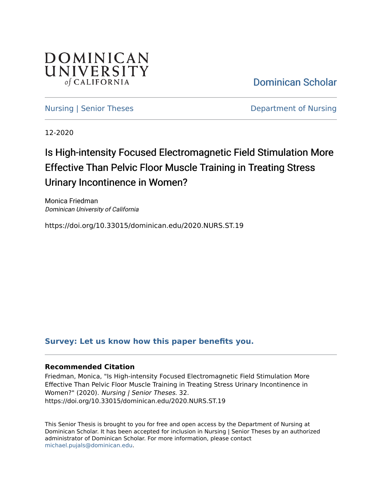

[Dominican Scholar](https://scholar.dominican.edu/) 

[Nursing | Senior Theses](https://scholar.dominican.edu/nursing-senior-theses) **Department of Nursing** 

12-2020

# Is High-intensity Focused Electromagnetic Field Stimulation More Effective Than Pelvic Floor Muscle Training in Treating Stress Urinary Incontinence in Women?

Monica Friedman Dominican University of California

https://doi.org/10.33015/dominican.edu/2020.NURS.ST.19

# **[Survey: Let us know how this paper benefits you.](https://dominican.libwizard.com/dominican-scholar-feedback)**

## **Recommended Citation**

Friedman, Monica, "Is High-intensity Focused Electromagnetic Field Stimulation More Effective Than Pelvic Floor Muscle Training in Treating Stress Urinary Incontinence in Women?" (2020). Nursing | Senior Theses. 32. https://doi.org/10.33015/dominican.edu/2020.NURS.ST.19

This Senior Thesis is brought to you for free and open access by the Department of Nursing at Dominican Scholar. It has been accepted for inclusion in Nursing | Senior Theses by an authorized administrator of Dominican Scholar. For more information, please contact [michael.pujals@dominican.edu.](mailto:michael.pujals@dominican.edu)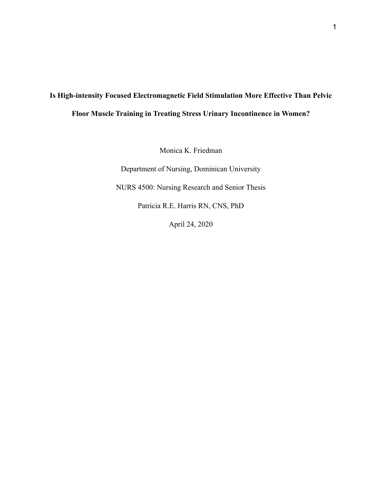# **Is High-intensity Focused Electromagnetic Field Stimulation More Effective Than Pelvic Floor Muscle Training in Treating Stress Urinary Incontinence in Women?**

Monica K. Friedman

Department of Nursing, Dominican University

NURS 4500: Nursing Research and Senior Thesis

Patricia R.E. Harris RN, CNS, PhD

April 24, 2020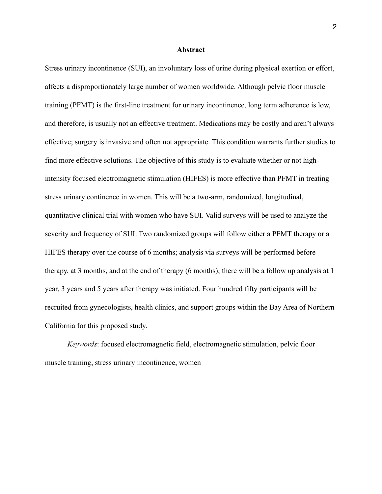#### **Abstract**

Stress urinary incontinence (SUI), an involuntary loss of urine during physical exertion or effort, affects a disproportionately large number of women worldwide. Although pelvic floor muscle training (PFMT) is the first-line treatment for urinary incontinence, long term adherence is low, and therefore, is usually not an effective treatment. Medications may be costly and aren't always effective; surgery is invasive and often not appropriate. This condition warrants further studies to find more effective solutions. The objective of this study is to evaluate whether or not highintensity focused electromagnetic stimulation (HIFES) is more effective than PFMT in treating stress urinary continence in women. This will be a two-arm, randomized, longitudinal, quantitative clinical trial with women who have SUI. Valid surveys will be used to analyze the severity and frequency of SUI. Two randomized groups will follow either a PFMT therapy or a HIFES therapy over the course of 6 months; analysis via surveys will be performed before therapy, at 3 months, and at the end of therapy (6 months); there will be a follow up analysis at 1 year, 3 years and 5 years after therapy was initiated. Four hundred fifty participants will be recruited from gynecologists, health clinics, and support groups within the Bay Area of Northern California for this proposed study.

*Keywords*: focused electromagnetic field, electromagnetic stimulation, pelvic floor muscle training, stress urinary incontinence, women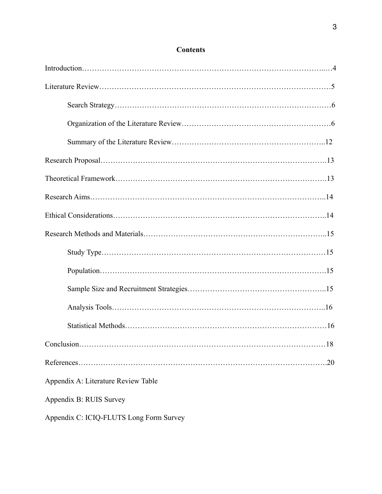| $\dots$ 18                          |
|-------------------------------------|
| .20                                 |
| Appendix A: Literature Review Table |
| Appendix B: RUIS Survey             |

# **Contents**

Appendix C: ICIQ-FLUTS Long Form Survey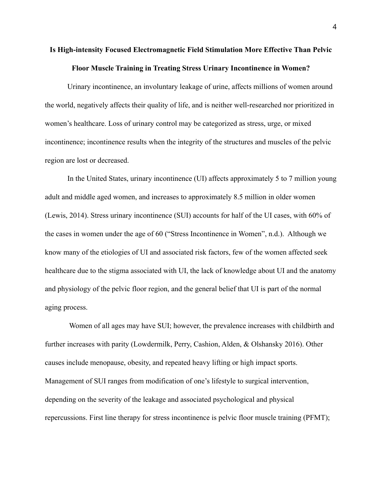# **Is High-intensity Focused Electromagnetic Field Stimulation More Effective Than Pelvic Floor Muscle Training in Treating Stress Urinary Incontinence in Women?**

 Urinary incontinence, an involuntary leakage of urine, affects millions of women around the world, negatively affects their quality of life, and is neither well-researched nor prioritized in women's healthcare. Loss of urinary control may be categorized as stress, urge, or mixed incontinence; incontinence results when the integrity of the structures and muscles of the pelvic region are lost or decreased.

 In the United States, urinary incontinence (UI) affects approximately 5 to 7 million young adult and middle aged women, and increases to approximately 8.5 million in older women (Lewis, 2014). Stress urinary incontinence (SUI) accounts for half of the UI cases, with 60% of the cases in women under the age of 60 ("Stress Incontinence in Women", n.d.). Although we know many of the etiologies of UI and associated risk factors, few of the women affected seek healthcare due to the stigma associated with UI, the lack of knowledge about UI and the anatomy and physiology of the pelvic floor region, and the general belief that UI is part of the normal aging process.

 Women of all ages may have SUI; however, the prevalence increases with childbirth and further increases with parity (Lowdermilk, Perry, Cashion, Alden, & Olshansky 2016). Other causes include menopause, obesity, and repeated heavy lifting or high impact sports. Management of SUI ranges from modification of one's lifestyle to surgical intervention, depending on the severity of the leakage and associated psychological and physical repercussions. First line therapy for stress incontinence is pelvic floor muscle training (PFMT);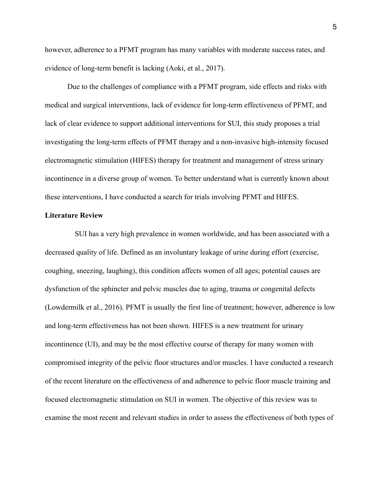however, adherence to a PFMT program has many variables with moderate success rates, and evidence of long-term benefit is lacking (Aoki, et al., 2017).

 Due to the challenges of compliance with a PFMT program, side effects and risks with medical and surgical interventions, lack of evidence for long-term effectiveness of PFMT, and lack of clear evidence to support additional interventions for SUI, this study proposes a trial investigating the long-term effects of PFMT therapy and a non-invasive high-intensity focused electromagnetic stimulation (HIFES) therapy for treatment and management of stress urinary incontinence in a diverse group of women. To better understand what is currently known about these interventions, I have conducted a search for trials involving PFMT and HIFES.

#### **Literature Review**

SUI has a very high prevalence in women worldwide, and has been associated with a decreased quality of life. Defined as an involuntary leakage of urine during effort (exercise, coughing, sneezing, laughing), this condition affects women of all ages; potential causes are dysfunction of the sphincter and pelvic muscles due to aging, trauma or congenital defects (Lowdermilk et al., 2016). PFMT is usually the first line of treatment; however, adherence is low and long-term effectiveness has not been shown. HIFES is a new treatment for urinary incontinence (UI), and may be the most effective course of therapy for many women with compromised integrity of the pelvic floor structures and/or muscles. I have conducted a research of the recent literature on the effectiveness of and adherence to pelvic floor muscle training and focused electromagnetic stimulation on SUI in women. The objective of this review was to examine the most recent and relevant studies in order to assess the effectiveness of both types of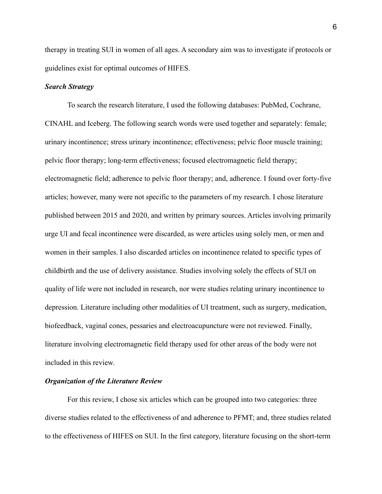therapy in treating SUI in women of all ages. A secondary aim was to investigate if protocols or guidelines exist for optimal outcomes of HIFES.

# *Search Strategy*

 To search the research literature, I used the following databases: PubMed, Cochrane, CINAHL and Iceberg. The following search words were used together and separately: female; urinary incontinence; stress urinary incontinence; effectiveness; pelvic floor muscle training; pelvic floor therapy; long-term effectiveness; focused electromagnetic field therapy; electromagnetic field; adherence to pelvic floor therapy; and, adherence. I found over forty-five articles; however, many were not specific to the parameters of my research. I chose literature published between 2015 and 2020, and written by primary sources. Articles involving primarily urge UI and fecal incontinence were discarded, as were articles using solely men, or men and women in their samples. I also discarded articles on incontinence related to specific types of childbirth and the use of delivery assistance. Studies involving solely the effects of SUI on quality of life were not included in research, nor were studies relating urinary incontinence to depression. Literature including other modalities of UI treatment, such as surgery, medication, biofeedback, vaginal cones, pessaries and electroacupuncture were not reviewed. Finally, literature involving electromagnetic field therapy used for other areas of the body were not included in this review.

## *Organization of the Literature Review*

 For this review, I chose six articles which can be grouped into two categories: three diverse studies related to the effectiveness of and adherence to PFMT; and, three studies related to the effectiveness of HIFES on SUI. In the first category, literature focusing on the short-term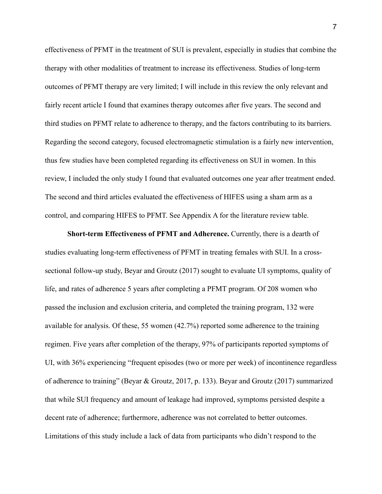effectiveness of PFMT in the treatment of SUI is prevalent, especially in studies that combine the therapy with other modalities of treatment to increase its effectiveness. Studies of long-term outcomes of PFMT therapy are very limited; I will include in this review the only relevant and fairly recent article I found that examines therapy outcomes after five years. The second and third studies on PFMT relate to adherence to therapy, and the factors contributing to its barriers. Regarding the second category, focused electromagnetic stimulation is a fairly new intervention, thus few studies have been completed regarding its effectiveness on SUI in women. In this review, I included the only study I found that evaluated outcomes one year after treatment ended. The second and third articles evaluated the effectiveness of HIFES using a sham arm as a control, and comparing HIFES to PFMT. See Appendix A for the literature review table.

**Short-term Effectiveness of PFMT and Adherence.** Currently, there is a dearth of studies evaluating long-term effectiveness of PFMT in treating females with SUI. In a crosssectional follow-up study, Beyar and Groutz (2017) sought to evaluate UI symptoms, quality of life, and rates of adherence 5 years after completing a PFMT program. Of 208 women who passed the inclusion and exclusion criteria, and completed the training program, 132 were available for analysis. Of these, 55 women (42.7%) reported some adherence to the training regimen. Five years after completion of the therapy, 97% of participants reported symptoms of UI, with 36% experiencing "frequent episodes (two or more per week) of incontinence regardless of adherence to training" (Beyar & Groutz, 2017, p. 133). Beyar and Groutz (2017) summarized that while SUI frequency and amount of leakage had improved, symptoms persisted despite a decent rate of adherence; furthermore, adherence was not correlated to better outcomes. Limitations of this study include a lack of data from participants who didn't respond to the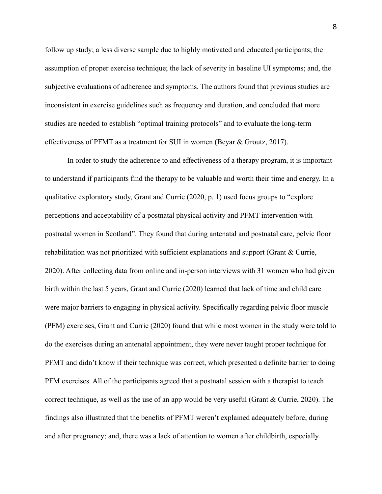follow up study; a less diverse sample due to highly motivated and educated participants; the assumption of proper exercise technique; the lack of severity in baseline UI symptoms; and, the subjective evaluations of adherence and symptoms. The authors found that previous studies are inconsistent in exercise guidelines such as frequency and duration, and concluded that more studies are needed to establish "optimal training protocols" and to evaluate the long-term effectiveness of PFMT as a treatment for SUI in women (Beyar & Groutz, 2017).

 In order to study the adherence to and effectiveness of a therapy program, it is important to understand if participants find the therapy to be valuable and worth their time and energy. In a qualitative exploratory study, Grant and Currie (2020, p. 1) used focus groups to "explore perceptions and acceptability of a postnatal physical activity and PFMT intervention with postnatal women in Scotland". They found that during antenatal and postnatal care, pelvic floor rehabilitation was not prioritized with sufficient explanations and support (Grant & Currie, 2020). After collecting data from online and in-person interviews with 31 women who had given birth within the last 5 years, Grant and Currie (2020) learned that lack of time and child care were major barriers to engaging in physical activity. Specifically regarding pelvic floor muscle (PFM) exercises, Grant and Currie (2020) found that while most women in the study were told to do the exercises during an antenatal appointment, they were never taught proper technique for PFMT and didn't know if their technique was correct, which presented a definite barrier to doing PFM exercises. All of the participants agreed that a postnatal session with a therapist to teach correct technique, as well as the use of an app would be very useful (Grant & Currie, 2020). The findings also illustrated that the benefits of PFMT weren't explained adequately before, during and after pregnancy; and, there was a lack of attention to women after childbirth, especially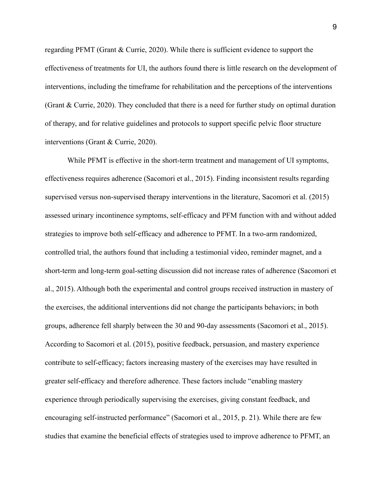regarding PFMT (Grant & Currie, 2020). While there is sufficient evidence to support the effectiveness of treatments for UI, the authors found there is little research on the development of interventions, including the timeframe for rehabilitation and the perceptions of the interventions (Grant & Currie, 2020). They concluded that there is a need for further study on optimal duration of therapy, and for relative guidelines and protocols to support specific pelvic floor structure interventions (Grant & Currie, 2020).

 While PFMT is effective in the short-term treatment and management of UI symptoms, effectiveness requires adherence (Sacomori et al., 2015). Finding inconsistent results regarding supervised versus non-supervised therapy interventions in the literature, Sacomori et al. (2015) assessed urinary incontinence symptoms, self-efficacy and PFM function with and without added strategies to improve both self-efficacy and adherence to PFMT. In a two-arm randomized, controlled trial, the authors found that including a testimonial video, reminder magnet, and a short-term and long-term goal-setting discussion did not increase rates of adherence (Sacomori et al., 2015). Although both the experimental and control groups received instruction in mastery of the exercises, the additional interventions did not change the participants behaviors; in both groups, adherence fell sharply between the 30 and 90-day assessments (Sacomori et al., 2015). According to Sacomori et al. (2015), positive feedback, persuasion, and mastery experience contribute to self-efficacy; factors increasing mastery of the exercises may have resulted in greater self-efficacy and therefore adherence. These factors include "enabling mastery experience through periodically supervising the exercises, giving constant feedback, and encouraging self-instructed performance" (Sacomori et al., 2015, p. 21). While there are few studies that examine the beneficial effects of strategies used to improve adherence to PFMT, an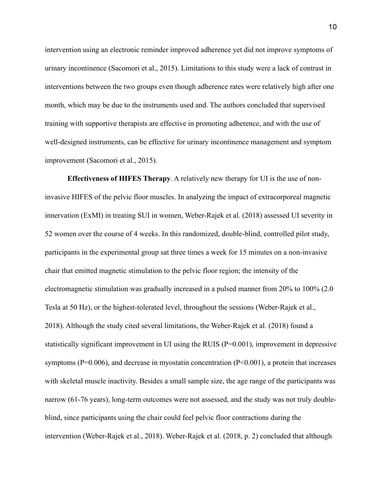intervention using an electronic reminder improved adherence yet did not improve symptoms of urinary incontinence (Sacomori et al., 2015). Limitations to this study were a lack of contrast in interventions between the two groups even though adherence rates were relatively high after one month, which may be due to the instruments used and. The authors concluded that supervised training with supportive therapists are effective in promoting adherence, and with the use of well-designed instruments, can be effective for urinary incontinence management and symptom improvement (Sacomori et al., 2015).

**Effectiveness of HIFES Therapy**. A relatively new therapy for UI is the use of noninvasive HIFES of the pelvic floor muscles. In analyzing the impact of extracorporeal magnetic innervation (ExMI) in treating SUI in women, Weber-Rajek et al. (2018) assessed UI severity in 52 women over the course of 4 weeks. In this randomized, double-blind, controlled pilot study, participants in the experimental group sat three times a week for 15 minutes on a non-invasive chair that emitted magnetic stimulation to the pelvic floor region; the intensity of the electromagnetic stimulation was gradually increased in a pulsed manner from 20% to 100% (2.0 Tesla at 50 Hz), or the highest-tolerated level, throughout the sessions (Weber-Rajek et al., 2018). Although the study cited several limitations, the Weber-Rajek et al. (2018) found a statistically significant improvement in UI using the RUIS (P=0.001), improvement in depressive symptoms (P=0.006), and decrease in myostatin concentration (P<0.001), a protein that increases with skeletal muscle inactivity. Besides a small sample size, the age range of the participants was narrow (61-76 years), long-term outcomes were not assessed, and the study was not truly doubleblind, since participants using the chair could feel pelvic floor contractions during the intervention (Weber-Rajek et al., 2018). Weber-Rajek et al. (2018, p. 2) concluded that although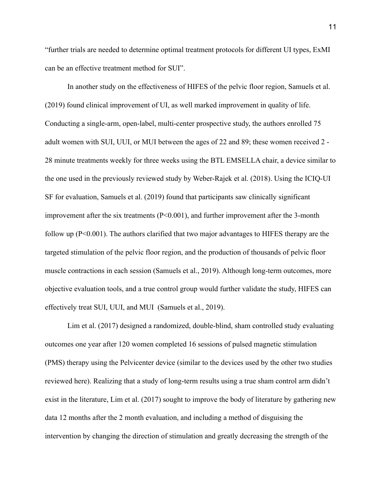"further trials are needed to determine optimal treatment protocols for different UI types, ExMI can be an effective treatment method for SUI".

 In another study on the effectiveness of HIFES of the pelvic floor region, Samuels et al. (2019) found clinical improvement of UI, as well marked improvement in quality of life. Conducting a single-arm, open-label, multi-center prospective study, the authors enrolled 75 adult women with SUI, UUI, or MUI between the ages of 22 and 89; these women received 2 - 28 minute treatments weekly for three weeks using the BTL EMSELLA chair, a device similar to the one used in the previously reviewed study by Weber-Rajek et al. (2018). Using the ICIQ-UI SF for evaluation, Samuels et al. (2019) found that participants saw clinically significant improvement after the six treatments (P<0.001), and further improvement after the 3-month follow up (P<0.001). The authors clarified that two major advantages to HIFES therapy are the targeted stimulation of the pelvic floor region, and the production of thousands of pelvic floor muscle contractions in each session (Samuels et al., 2019). Although long-term outcomes, more objective evaluation tools, and a true control group would further validate the study, HIFES can effectively treat SUI, UUI, and MUI (Samuels et al., 2019).

 Lim et al. (2017) designed a randomized, double-blind, sham controlled study evaluating outcomes one year after 120 women completed 16 sessions of pulsed magnetic stimulation (PMS) therapy using the Pelvicenter device (similar to the devices used by the other two studies reviewed here). Realizing that a study of long-term results using a true sham control arm didn't exist in the literature, Lim et al. (2017) sought to improve the body of literature by gathering new data 12 months after the 2 month evaluation, and including a method of disguising the intervention by changing the direction of stimulation and greatly decreasing the strength of the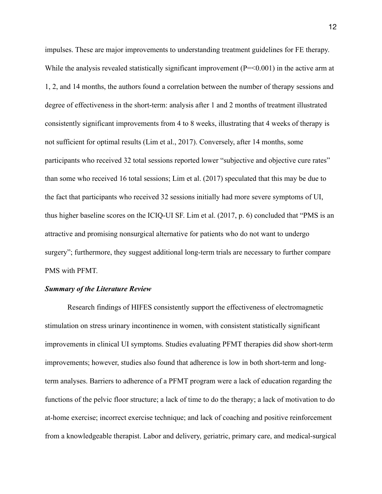impulses. These are major improvements to understanding treatment guidelines for FE therapy. While the analysis revealed statistically significant improvement (P=<0.001) in the active arm at 1, 2, and 14 months, the authors found a correlation between the number of therapy sessions and degree of effectiveness in the short-term: analysis after 1 and 2 months of treatment illustrated consistently significant improvements from 4 to 8 weeks, illustrating that 4 weeks of therapy is not sufficient for optimal results (Lim et al., 2017). Conversely, after 14 months, some participants who received 32 total sessions reported lower "subjective and objective cure rates" than some who received 16 total sessions; Lim et al. (2017) speculated that this may be due to the fact that participants who received 32 sessions initially had more severe symptoms of UI, thus higher baseline scores on the ICIQ-UI SF. Lim et al. (2017, p. 6) concluded that "PMS is an attractive and promising nonsurgical alternative for patients who do not want to undergo surgery"; furthermore, they suggest additional long-term trials are necessary to further compare PMS with PFMT.

# *Summary of the Literature Review*

 Research findings of HIFES consistently support the effectiveness of electromagnetic stimulation on stress urinary incontinence in women, with consistent statistically significant improvements in clinical UI symptoms. Studies evaluating PFMT therapies did show short-term improvements; however, studies also found that adherence is low in both short-term and longterm analyses. Barriers to adherence of a PFMT program were a lack of education regarding the functions of the pelvic floor structure; a lack of time to do the therapy; a lack of motivation to do at-home exercise; incorrect exercise technique; and lack of coaching and positive reinforcement from a knowledgeable therapist. Labor and delivery, geriatric, primary care, and medical-surgical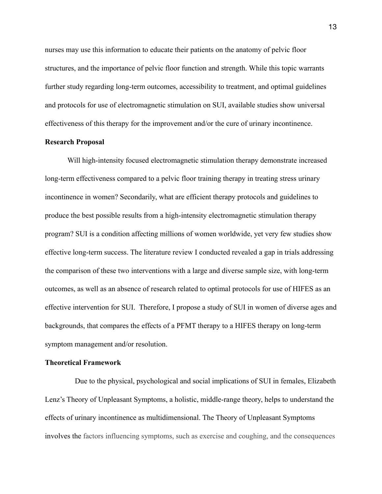nurses may use this information to educate their patients on the anatomy of pelvic floor structures, and the importance of pelvic floor function and strength. While this topic warrants further study regarding long-term outcomes, accessibility to treatment, and optimal guidelines and protocols for use of electromagnetic stimulation on SUI, available studies show universal effectiveness of this therapy for the improvement and/or the cure of urinary incontinence.

#### **Research Proposal**

Will high-intensity focused electromagnetic stimulation therapy demonstrate increased long-term effectiveness compared to a pelvic floor training therapy in treating stress urinary incontinence in women? Secondarily, what are efficient therapy protocols and guidelines to produce the best possible results from a high-intensity electromagnetic stimulation therapy program? SUI is a condition affecting millions of women worldwide, yet very few studies show effective long-term success. The literature review I conducted revealed a gap in trials addressing the comparison of these two interventions with a large and diverse sample size, with long-term outcomes, as well as an absence of research related to optimal protocols for use of HIFES as an effective intervention for SUI. Therefore, I propose a study of SUI in women of diverse ages and backgrounds, that compares the effects of a PFMT therapy to a HIFES therapy on long-term symptom management and/or resolution.

#### **Theoretical Framework**

Due to the physical, psychological and social implications of SUI in females, Elizabeth Lenz's Theory of Unpleasant Symptoms, a holistic, middle-range theory, helps to understand the effects of urinary incontinence as multidimensional. The Theory of Unpleasant Symptoms involves the factors influencing symptoms, such as exercise and coughing, and the consequences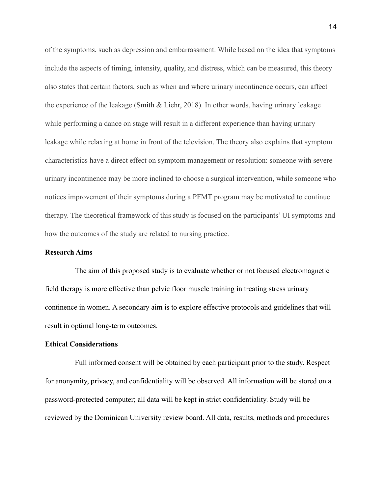of the symptoms, such as depression and embarrassment. While based on the idea that symptoms include the aspects of timing, intensity, quality, and distress, which can be measured, this theory also states that certain factors, such as when and where urinary incontinence occurs, can affect the experience of the leakage (Smith & Liehr, 2018). In other words, having urinary leakage while performing a dance on stage will result in a different experience than having urinary leakage while relaxing at home in front of the television. The theory also explains that symptom characteristics have a direct effect on symptom management or resolution: someone with severe urinary incontinence may be more inclined to choose a surgical intervention, while someone who notices improvement of their symptoms during a PFMT program may be motivated to continue therapy. The theoretical framework of this study is focused on the participants' UI symptoms and how the outcomes of the study are related to nursing practice.

#### **Research Aims**

The aim of this proposed study is to evaluate whether or not focused electromagnetic field therapy is more effective than pelvic floor muscle training in treating stress urinary continence in women. A secondary aim is to explore effective protocols and guidelines that will result in optimal long-term outcomes.

## **Ethical Considerations**

Full informed consent will be obtained by each participant prior to the study. Respect for anonymity, privacy, and confidentiality will be observed. All information will be stored on a password-protected computer; all data will be kept in strict confidentiality. Study will be reviewed by the Dominican University review board. All data, results, methods and procedures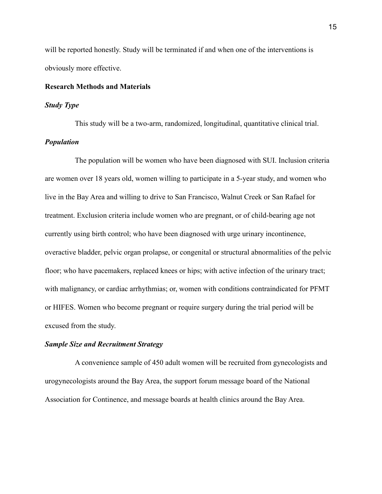will be reported honestly. Study will be terminated if and when one of the interventions is obviously more effective.

## **Research Methods and Materials**

#### *Study Type*

This study will be a two-arm, randomized, longitudinal, quantitative clinical trial. *Population*

The population will be women who have been diagnosed with SUI. Inclusion criteria are women over 18 years old, women willing to participate in a 5-year study, and women who live in the Bay Area and willing to drive to San Francisco, Walnut Creek or San Rafael for treatment. Exclusion criteria include women who are pregnant, or of child-bearing age not currently using birth control; who have been diagnosed with urge urinary incontinence, overactive bladder, pelvic organ prolapse, or congenital or structural abnormalities of the pelvic floor; who have pacemakers, replaced knees or hips; with active infection of the urinary tract; with malignancy, or cardiac arrhythmias; or, women with conditions contraindicated for PFMT or HIFES. Women who become pregnant or require surgery during the trial period will be excused from the study.

#### *Sample Size and Recruitment Strategy*

A convenience sample of 450 adult women will be recruited from gynecologists and urogynecologists around the Bay Area, the support forum message board of the National Association for Continence, and message boards at health clinics around the Bay Area.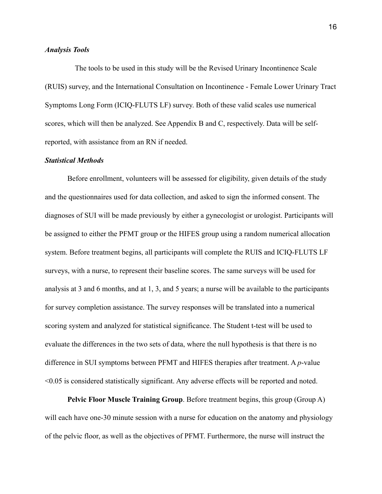#### *Analysis Tools*

The tools to be used in this study will be the Revised Urinary Incontinence Scale (RUIS) survey, and the International Consultation on Incontinence - Female Lower Urinary Tract Symptoms Long Form (ICIQ-FLUTS LF) survey. Both of these valid scales use numerical scores, which will then be analyzed. See Appendix B and C, respectively. Data will be selfreported, with assistance from an RN if needed.

#### *Statistical Methods*

 Before enrollment, volunteers will be assessed for eligibility, given details of the study and the questionnaires used for data collection, and asked to sign the informed consent. The diagnoses of SUI will be made previously by either a gynecologist or urologist. Participants will be assigned to either the PFMT group or the HIFES group using a random numerical allocation system. Before treatment begins, all participants will complete the RUIS and ICIQ-FLUTS LF surveys, with a nurse, to represent their baseline scores. The same surveys will be used for analysis at 3 and 6 months, and at 1, 3, and 5 years; a nurse will be available to the participants for survey completion assistance. The survey responses will be translated into a numerical scoring system and analyzed for statistical significance. The Student t-test will be used to evaluate the differences in the two sets of data, where the null hypothesis is that there is no difference in SUI symptoms between PFMT and HIFES therapies after treatment. A *p*-value <0.05 is considered statistically significant. Any adverse effects will be reported and noted.

**Pelvic Floor Muscle Training Group**. Before treatment begins, this group (Group A) will each have one-30 minute session with a nurse for education on the anatomy and physiology of the pelvic floor, as well as the objectives of PFMT. Furthermore, the nurse will instruct the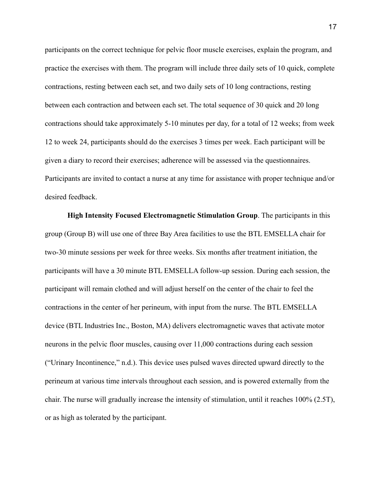participants on the correct technique for pelvic floor muscle exercises, explain the program, and practice the exercises with them. The program will include three daily sets of 10 quick, complete contractions, resting between each set, and two daily sets of 10 long contractions, resting between each contraction and between each set. The total sequence of 30 quick and 20 long contractions should take approximately 5-10 minutes per day, for a total of 12 weeks; from week 12 to week 24, participants should do the exercises 3 times per week. Each participant will be given a diary to record their exercises; adherence will be assessed via the questionnaires. Participants are invited to contact a nurse at any time for assistance with proper technique and/or desired feedback.

**High Intensity Focused Electromagnetic Stimulation Group**. The participants in this group (Group B) will use one of three Bay Area facilities to use the BTL EMSELLA chair for two-30 minute sessions per week for three weeks. Six months after treatment initiation, the participants will have a 30 minute BTL EMSELLA follow-up session. During each session, the participant will remain clothed and will adjust herself on the center of the chair to feel the contractions in the center of her perineum, with input from the nurse. The BTL EMSELLA device (BTL Industries Inc., Boston, MA) delivers electromagnetic waves that activate motor neurons in the pelvic floor muscles, causing over 11,000 contractions during each session ("Urinary Incontinence," n.d.). This device uses pulsed waves directed upward directly to the perineum at various time intervals throughout each session, and is powered externally from the chair. The nurse will gradually increase the intensity of stimulation, until it reaches 100% (2.5T), or as high as tolerated by the participant.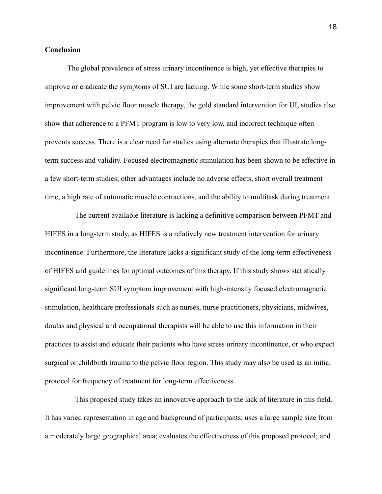#### **Conclusion**

 The global prevalence of stress urinary incontinence is high, yet effective therapies to improve or eradicate the symptoms of SUI are lacking. While some short-term studies show improvement with pelvic floor muscle therapy, the gold standard intervention for UI, studies also show that adherence to a PFMT program is low to very low, and incorrect technique often prevents success. There is a clear need for studies using alternate therapies that illustrate longterm success and validity. Focused electromagnetic stimulation has been shown to be effective in a few short-term studies; other advantages include no adverse effects, short overall treatment time, a high rate of automatic muscle contractions, and the ability to multitask during treatment.

The current available literature is lacking a definitive comparison between PFMT and HIFES in a long-term study, as HIFES is a relatively new treatment intervention for urinary incontinence. Furthermore, the literature lacks a significant study of the long-term effectiveness of HIFES and guidelines for optimal outcomes of this therapy. If this study shows statistically significant long-term SUI symptom improvement with high-intensity focused electromagnetic stimulation, healthcare professionals such as nurses, nurse practitioners, physicians, midwives, doulas and physical and occupational therapists will be able to use this information in their practices to assist and educate their patients who have stress urinary incontinence, or who expect surgical or childbirth trauma to the pelvic floor region. This study may also be used as an initial protocol for frequency of treatment for long-term effectiveness.

This proposed study takes an innovative approach to the lack of literature in this field. It has varied representation in age and background of participants; uses a large sample size from a moderately large geographical area; evaluates the effectiveness of this proposed protocol; and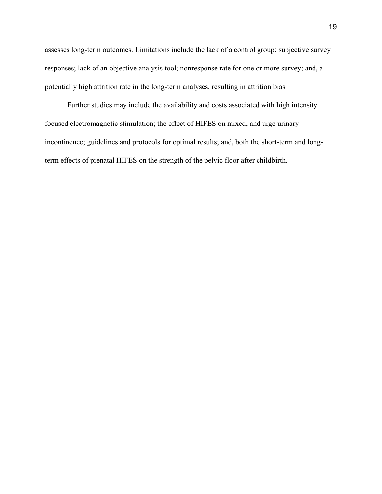assesses long-term outcomes. Limitations include the lack of a control group; subjective survey responses; lack of an objective analysis tool; nonresponse rate for one or more survey; and, a potentially high attrition rate in the long-term analyses, resulting in attrition bias.

 Further studies may include the availability and costs associated with high intensity focused electromagnetic stimulation; the effect of HIFES on mixed, and urge urinary incontinence; guidelines and protocols for optimal results; and, both the short-term and longterm effects of prenatal HIFES on the strength of the pelvic floor after childbirth.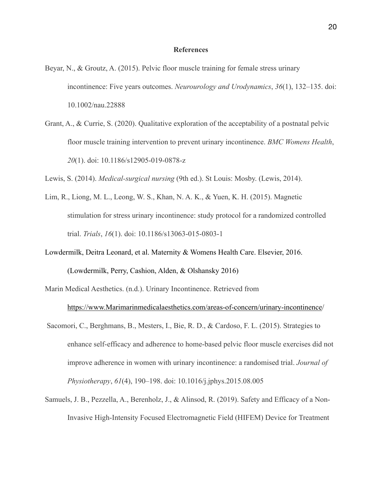#### **References**

- Beyar, N., & Groutz, A. (2015). Pelvic floor muscle training for female stress urinary incontinence: Five years outcomes. *Neurourology and Urodynamics*, *36*(1), 132–135. doi: 10.1002/nau.22888
- Grant, A., & Currie, S. (2020). Qualitative exploration of the acceptability of a postnatal pelvic floor muscle training intervention to prevent urinary incontinence. *BMC Womens Health*, *20*(1). doi: 10.1186/s12905-019-0878-z

Lewis, S. (2014). *Medical-surgical nursing* (9th ed.). St Louis: Mosby. (Lewis, 2014).

- Lim, R., Liong, M. L., Leong, W. S., Khan, N. A. K., & Yuen, K. H. (2015). Magnetic stimulation for stress urinary incontinence: study protocol for a randomized controlled trial. *Trials*, *16*(1). doi: 10.1186/s13063-015-0803-1
- Lowdermilk, Deitra Leonard, et al. Maternity & Womens Health Care. Elsevier, 2016.

(Lowdermilk, Perry, Cashion, Alden, & Olshansky 2016)

Marin Medical Aesthetics. (n.d.). Urinary Incontinence. Retrieved from

[https://www.Marimarinmedicalaesthetics.com/areas-of-concern/urinary-incontinence](https://www.marinmedicalaesthetics.com/areas-of-concern/urinary-incontinence/)/

- Sacomori, C., Berghmans, B., Mesters, I., Bie, R. D., & Cardoso, F. L. (2015). Strategies to enhance self-efficacy and adherence to home-based pelvic floor muscle exercises did not improve adherence in women with urinary incontinence: a randomised trial. *Journal of Physiotherapy*, *61*(4), 190–198. doi: 10.1016/j.jphys.2015.08.005
- Samuels, J. B., Pezzella, A., Berenholz, J., & Alinsod, R. (2019). Safety and Efficacy of a Non- Invasive High-Intensity Focused Electromagnetic Field (HIFEM) Device for Treatment